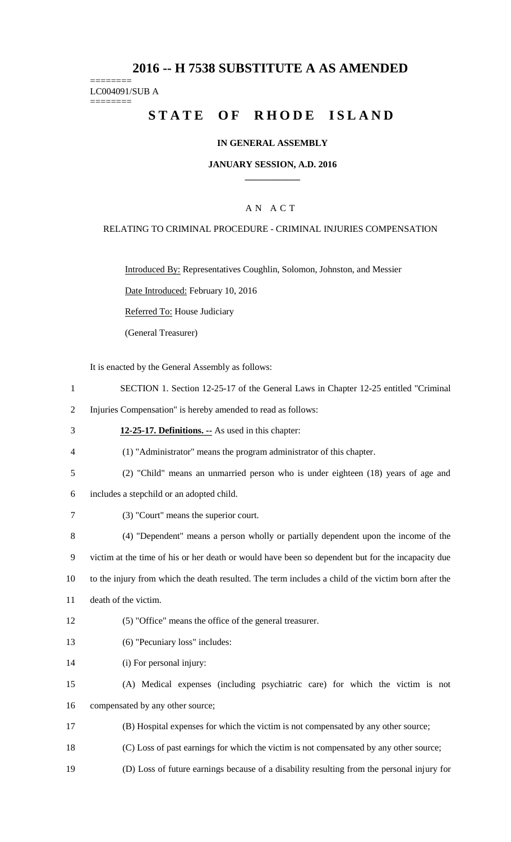## **2016 -- H 7538 SUBSTITUTE A AS AMENDED**

======== LC004091/SUB A

========

# STATE OF RHODE ISLAND

### **IN GENERAL ASSEMBLY**

#### **JANUARY SESSION, A.D. 2016 \_\_\_\_\_\_\_\_\_\_\_\_**

### A N A C T

#### RELATING TO CRIMINAL PROCEDURE - CRIMINAL INJURIES COMPENSATION

Introduced By: Representatives Coughlin, Solomon, Johnston, and Messier

Date Introduced: February 10, 2016

Referred To: House Judiciary

(General Treasurer)

It is enacted by the General Assembly as follows:

1 SECTION 1. Section 12-25-17 of the General Laws in Chapter 12-25 entitled "Criminal

2 Injuries Compensation" is hereby amended to read as follows:

3 **12-25-17. Definitions. --** As used in this chapter:

4 (1) "Administrator" means the program administrator of this chapter.

- 5 (2) "Child" means an unmarried person who is under eighteen (18) years of age and
- 6 includes a stepchild or an adopted child.
- 7 (3) "Court" means the superior court.

8 (4) "Dependent" means a person wholly or partially dependent upon the income of the 9 victim at the time of his or her death or would have been so dependent but for the incapacity due 10 to the injury from which the death resulted. The term includes a child of the victim born after the

- 11 death of the victim.
- 12 (5) "Office" means the office of the general treasurer.
- 13 (6) "Pecuniary loss" includes:

14 (i) For personal injury:

15 (A) Medical expenses (including psychiatric care) for which the victim is not 16 compensated by any other source;

- 17 (B) Hospital expenses for which the victim is not compensated by any other source;
- 18 (C) Loss of past earnings for which the victim is not compensated by any other source;

19 (D) Loss of future earnings because of a disability resulting from the personal injury for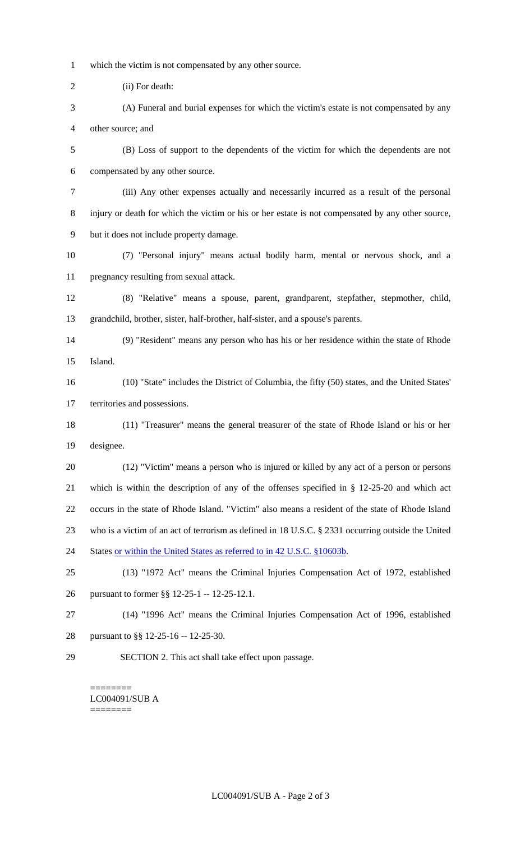- which the victim is not compensated by any other source.
- (ii) For death:
- (A) Funeral and burial expenses for which the victim's estate is not compensated by any other source; and
- (B) Loss of support to the dependents of the victim for which the dependents are not compensated by any other source.
- (iii) Any other expenses actually and necessarily incurred as a result of the personal injury or death for which the victim or his or her estate is not compensated by any other source, but it does not include property damage.
- (7) "Personal injury" means actual bodily harm, mental or nervous shock, and a pregnancy resulting from sexual attack.
- (8) "Relative" means a spouse, parent, grandparent, stepfather, stepmother, child, grandchild, brother, sister, half-brother, half-sister, and a spouse's parents.
- (9) "Resident" means any person who has his or her residence within the state of Rhode Island.
- (10) "State" includes the District of Columbia, the fifty (50) states, and the United States' territories and possessions.
- (11) "Treasurer" means the general treasurer of the state of Rhode Island or his or her designee.
- (12) "Victim" means a person who is injured or killed by any act of a person or persons which is within the description of any of the offenses specified in § 12-25-20 and which act occurs in the state of Rhode Island. "Victim" also means a resident of the state of Rhode Island who is a victim of an act of terrorism as defined in 18 U.S.C. § 2331 occurring outside the United 24 States or within the United States as referred to in 42 U.S.C. §10603b.
- (13) "1972 Act" means the Criminal Injuries Compensation Act of 1972, established pursuant to former §§ 12-25-1 -- 12-25-12.1.
- (14) "1996 Act" means the Criminal Injuries Compensation Act of 1996, established pursuant to §§ 12-25-16 -- 12-25-30.
- SECTION 2. This act shall take effect upon passage.

======== LC004091/SUB A ========